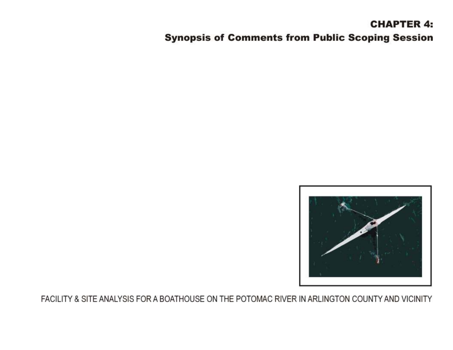# **CHAPTER 4: Synopsis of Comments from Public Scoping Session**

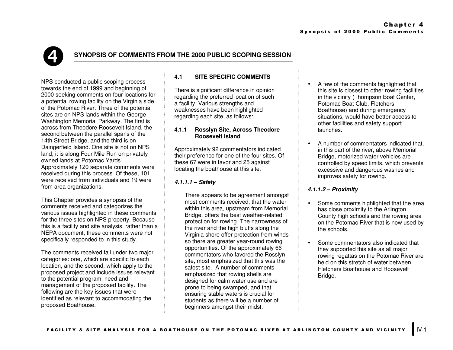# è

# **SYNOPSIS OF COMMENTS FROM THE 2000 PUBLIC SCOPING SESSION**

NPS conducted a public scoping process towards the end of 1999 and beginning of 2000 seeking comments on four locations for a potential rowing facility on the Virginia side of the Potomac River. Three of the potential sites are on NPS lands within the George Washington Memorial Parkway. The first is across from Theodore Roosevelt Island, the second between the parallel spans of the 14th Street Bridge, and the third is on Daingerfield Island. One site is not on NPS land; it is along Four Mile Run on privately owned lands at Potomac Yards. Approximately 120 separate comments were received during this process. Of these, 101 were received from individuals and 19 were from area organizations.

This Chapter provides a synopsis of the comments received and categorizes the various issues highlighted in these comments for the three sites on NPS property. Because this is a facility and site analysis, rather than a NEPA document, these comments were not specifically responded to in this study.

The comments received fall under two major categories: one, which are specific to each location, and the second, which apply to the proposed project and include issues relevant to the potential program, need and management of the proposed facility. The following are the key issues that were identified as relevant to accommodating the proposed Boathouse.

# **4.1 SITE SPECIFIC COMMENTS**

There is significant difference in opinion regarding the preferred location of such a facility. Various strengths and weaknesses have been highlighted regarding each site, as follows:

### **4.1.1 Rosslyn Site, Across Theodore Roosevelt Island**

Approximately 92 commentators indicated their preference for one of the four sites. Of these 67 were in favor and 25 against locating the boathouse at this site.

# *4.1.1.1 – Safety*

There appears to be agreement amongst most comments received, that the water within this area, upstream from Memorial Bridge, offers the best weather-related protection for rowing. The narrowness of the river and the high bluffs along the Virginia shore offer protection from winds so there are greater year-round rowing opportunities. Of the approximately 66 commentators who favored the Rosslyn site, most emphasized that this was the safest site. A number of comments emphasized that rowing shells are designed for calm water use and are prone to being swamped, and that ensuring stable waters is crucial for students as there will be a number of beginners amongst their midst.

- A few of the comments highlighted that this site is closest to other rowing facilities in the vicinity (Thompson Boat Center, Potomac Boat Club, Fletchers Boathouse) and during emergency situations, would have better access to other facilities and safety support launches.
- A number of commentators indicated that, in this part of the river, above Memorial Bridge, motorized water vehicles are controlled by speed limits, which prevents excessive and dangerous washes and improves safety for rowing.

# *4.1.1.2 – Proximity*

- Some comments highlighted that the area has close proximity to the Arlington County high schools and the rowing area on the Potomac River that is now used by the schools.
- Some commentators also indicated that they supported this site as all major rowing regattas on the Potomac River are held on this stretch of water between Fletchers Boathouse and Roosevelt Bridge.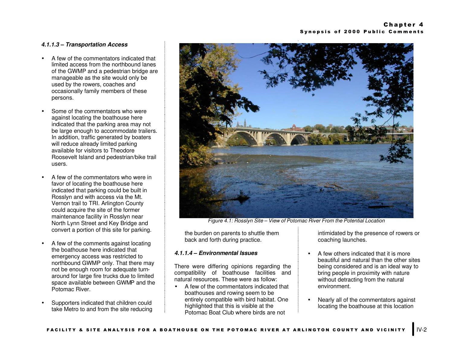#### *4.1.1.3 – Transportation Access*

- A few of the commentators indicated that limited access from the northbound lanes of the GWMP and a pedestrian bridge are manageable as the site would only be used by the rowers, coaches and occasionally family members of these persons.
- Some of the commentators who were against locating the boathouse here indicated that the parking area may not be large enough to accommodate trailers. In addition, traffic generated by boaters will reduce already limited parking available for visitors to Theodore Roosevelt Island and pedestrian/bike trail users.
- A few of the commentators who were in favor of locating the boathouse here indicated that parking could be built in Rosslyn and with access via the Mt. Vernon trail to TRI. Arlington County could acquire the site of the former maintenance facility in Rosslyn near North Lynn Street and Key Bridge and convert a portion of this site for parking.
- A few of the comments against locating the boathouse here indicated that emergency access was restricted to northbound GWMP only. That there may not be enough room for adequate turnaround for large fire trucks due to limited space available between GWMP and the Potomac River.
- Supporters indicated that children could take Metro to and from the site reducing



*Figure 4.1: Rosslyn Site – View of Potomac River From the Potential Location*

the burden on parents to shuttle them back and forth during practice.

#### *4.1.1.4 – Environmental Issues*

There were differing opinions regarding the compatibility of boathouse facilities and natural resources. These were as follow:

• A few of the commentators indicated that boathouses and rowing seem to be entirely compatible with bird habitat. One highlighted that this is visible at the Potomac Boat Club where birds are not

intimidated by the presence of rowers or coaching launches.

- A few others indicated that it is more beautiful and natural than the other sites being considered and is an ideal way to bring people in proximity with nature without detracting from the natural environment.
- Nearly all of the commentators against locating the boathouse at this location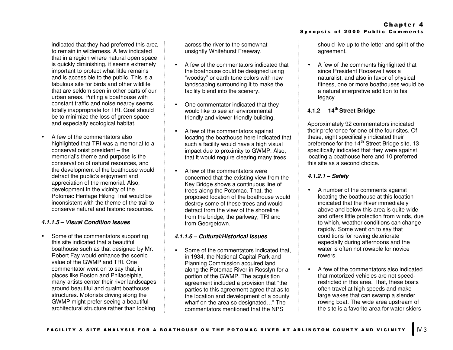indicated that they had preferred this area to remain in wilderness. A few indicated that in a region where natural open space is quickly diminishing, it seems extremely important to protect what little remains and is accessible to the public. This is a fabulous site for birds and other wildlife that are seldom seen in other parts of our urban areas. Putting a boathouse with constant traffic and noise nearby seems totally inappropriate for TRI. Goal should be to minimize the loss of green space and especially ecological habitat.

• A few of the commentators also highlighted that TRI was a memorial to a conservationist president – the memorial's theme and purpose is the conservation of natural resources, and the development of the boathouse would detract the public's enjoyment and appreciation of the memorial. Also, development in the vicinity of the Potomac Heritage Hiking Trail would be inconsistent with the theme of the trail to conserve natural and historic resources.

#### *4.1.1.5 – Visual Condition Issues*

• Some of the commentators supporting this site indicated that a beautiful boathouse such as that designed by Mr. Robert Fay would enhance the scenic value of the GWMP and TRI. One commentator went on to say that, in places like Boston and Philadelphia, many artists center their river landscapes around beautiful and quaint boathouse structures. Motorists driving along the GWMP might prefer seeing a beautiful architectural structure rather than looking

across the river to the somewhat unsightly Whitehurst Freeway.

- A few of the commentators indicated that the boathouse could be designed using "woodsy" or earth tone colors with new landscaping surrounding it to make the facility blend into the scenery.
- One commentator indicated that they would like to see an environmental friendly and viewer friendly building.
- A few of the commentators against locating the boathouse here indicated that such a facility would have a high visual impact due to proximity to GWMP. Also, that it would require clearing many trees.
- A few of the commentators were concerned that the existing view from the Key Bridge shows a continuous line of trees along the Potomac. That, the proposed location of the boathouse would destroy some of these trees and would detract from the view of the shoreline from the bridge, the parkway, TRI and from Georgetown.

#### *4.1.1.6 – Cultural/Historical Issues*

• Some of the commentators indicated that, in 1934, the National Capital Park and Planning Commission acquired land along the Potomac River in Rosslyn for a portion of the GWMP. The acquisition agreement included a provision that "the parties to this agreement agree that as to the location and development of a county wharf on the area so designated..." The commentators mentioned that the NPS

should live up to the letter and spirit of the agreement.

• A few of the comments highlighted that since President Roosevelt was a naturalist, and also in favor of physical fitness, one or more boathouses would be a natural interpretive addition to his legacy.

# **4.1.2 14th Street Bridge**

Approximately 92 commentators indicated their preference for one of the four sites. Of these, eight specifically indicated their preference for the 14<sup>th</sup> Street Bridge site, 13 specifically indicated that they were against locating a boathouse here and 10 preferred this site as a second choice.

# *4.1.2.1 – Safety*

- A number of the comments against locating the boathouse at this location indicated that the River immediately above and below this area is quite wide and offers little protection from winds, due to which, weather conditions can change rapidly. Some went on to say that conditions for rowing deteriorate especially during afternoons and the water is often not rowable for novice rowers.
- A few of the commentators also indicated that motorized vehicles are not speedrestricted in this area. That, these boats often travel at high speeds and make large wakes that can swamp a slender rowing boat. The wide area upstream of the site is a favorite area for water-skiers

# Chapter 4 Synopsis of 2000 Public Comments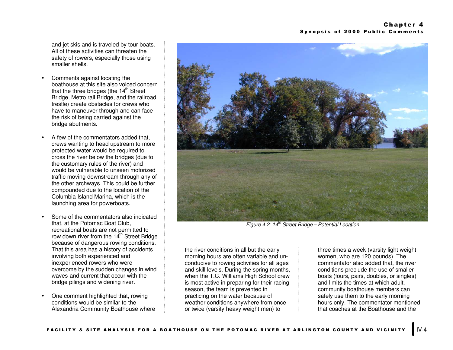and jet skis and is traveled by tour boats. All of these activities can threaten the safety of rowers, especially those using smaller shells.

- Comments against locating the boathouse at this site also voiced concern that the three bridges (the  $14<sup>th</sup>$  Street Bridge, Metro rail Bridge, and the railroad trestle) create obstacles for crews who have to maneuver through and can face the risk of being carried against the bridge abutments.
- A few of the commentators added that, crews wanting to head upstream to more protected water would be required to cross the river below the bridges (due to the customary rules of the river) and would be vulnerable to unseen motorized traffic moving downstream through any of the other archways. This could be further compounded due to the location of the Columbia Island Marina, which is the launching area for powerboats.
- Some of the commentators also indicated that, at the Potomac Boat Club, recreational boats are not permitted to row down river from the 14<sup>th</sup> Street Bridge because of dangerous rowing conditions. That this area has a history of accidents involving both experienced and inexperienced rowers who were overcome by the sudden changes in wind waves and current that occur with the bridge pilings and widening river.
- One comment highlighted that, rowing conditions would be similar to the Alexandria Community Boathouse where



*Figure 4.2: 14th Street Bridge – Potential Location*

the river conditions in all but the early morning hours are often variable and unconducive to rowing activities for all ages and skill levels. During the spring months, when the T.C. Williams High School crew is most active in preparing for their racing season, the team is prevented in practicing on the water because of weather conditions anywhere from once or twice (varsity heavy weight men) to

three times a week (varsity light weight women, who are 120 pounds). The commentator also added that, the river conditions preclude the use of smaller boats (fours, pairs, doubles, or singles) and limits the times at which adult, community boathouse members can safely use them to the early morning hours only. The commentator mentioned that coaches at the Boathouse and the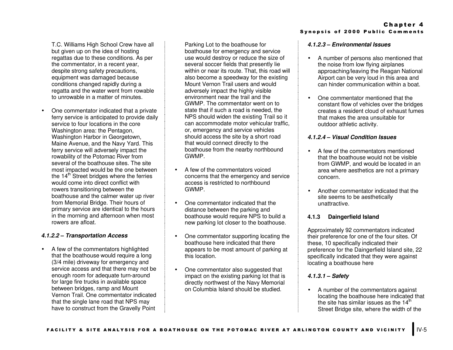T.C. Williams High School Crew have all but given up on the idea of hosting regattas due to these conditions. As per the commentator, in a recent year, despite strong safety precautions, equipment was damaged because conditions changed rapidly during a regatta and the water went from rowable to unrowable in a matter of minutes.

• One commentator indicated that a private ferry service is anticipated to provide daily service to four locations in the core Washington area: the Pentagon, Washington Harbor in Georgetown, Maine Avenue, and the Navy Yard. This ferry service will adversely impact the rowability of the Potomac River from several of the boathouse sites. The site most impacted would be the one between the  $14<sup>th</sup>$  Street bridges where the ferries would come into direct conflict with rowers transitioning between the boathouse and the calmer water up river from Memorial Bridge. Their hours of primary service are identical to the hours in the morning and afternoon when most rowers are afloat.

# *4.1.2.2 – Transportation Access*

• A few of the commentators highlighted that the boathouse would require a long (3/4 mile) driveway for emergency and service access and that there may not be enough room for adequate turn-around for large fire trucks in available space between bridges, ramp and Mount Vernon Trail. One commentator indicated that the single lane road that NPS may have to construct from the Gravelly Point

Parking Lot to the boathouse for boathouse for emergency and service use would destroy or reduce the size of several soccer fields that presently lie within or near its route. That, this road will also become a speedway for the existing Mount Vernon Trail users and would adversely impact the highly visible environment near the trail and the GWMP. The commentator went on to state that if such a road is needed, the NPS should widen the existing Trail so it can accommodate motor vehicular traffic, or, emergency and service vehicles should access the site by a short road that would connect directly to the boathouse from the nearby northbound GWMP.

- A few of the commentators voiced concerns that the emergency and service access is restricted to northbound GWMP.
- One commentator indicated that the distance between the parking and boathouse would require NPS to build a new parking lot closer to the boathouse.
- One commentator supporting locating the boathouse here indicated that there appears to be most amount of parking at this location.
- One commentator also suggested that impact on the existing parking lot that is directly northwest of the Navy Memorial on Columbia Island should be studied.

#### Chapter 4 Synopsis of 2000 Public Comments

#### *4.1.2.3 – Environmental Issues*

- A number of persons also mentioned that the noise from low flying airplanes approaching/leaving the Reagan National Airport can be very loud in this area and can hinder communication within a boat.
- One commentator mentioned that the constant flow of vehicles over the bridges creates a resident cloud of exhaust fumes that makes the area unsuitable for outdoor athletic activity.

#### *4.1.2.4 – Visual Condition Issues*

- A few of the commentators mentioned that the boathouse would not be visible from GWMP, and would be located in an area where aesthetics are not a primary concern.
- Another commentator indicated that the site seems to be aesthetically unattractive.

# **4.1.3 Daingerfield Island**

Approximately 92 commentators indicated their preference for one of the four sites. Of these, 10 specifically indicated their preference for the Daingerfield Island site, 22 specifically indicated that they were against locating a boathouse here

# *4.1.3.1 – Safety*

• A number of the commentators against locating the boathouse here indicated that the site has similar issues as the  $14<sup>th</sup>$ Street Bridge site, where the width of the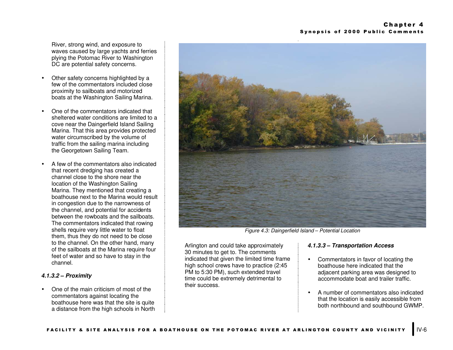River, strong wind, and exposure to waves caused by large yachts and ferries plying the Potomac River to Washington DC are potential safety concerns.

- Other safety concerns highlighted by a few of the commentators included close proximity to sailboats and motorized boats at the Washington Sailing Marina.
- One of the commentators indicated that sheltered water conditions are limited to a cove near the Daingerfield Island Sailing Marina. That this area provides protected water circumscribed by the volume of traffic from the sailing marina including the Georgetown Sailing Team.
- A few of the commentators also indicated that recent dredging has created a channel close to the shore near the location of the Washington Sailing Marina. They mentioned that creating a boathouse next to the Marina would result in congestion due to the narrowness of the channel, and potential for accidents between the rowboats and the sailboats. The commentators indicated that rowing shells require very little water to float them, thus they do not need to be close to the channel. On the other hand, many of the sailboats at the Marina require four feet of water and so have to stay in the channel.

# *4.1.3.2 – Proximity*

• One of the main criticism of most of the commentators against locating the boathouse here was that the site is quite a distance from the high schools in North



*Figure 4.3: Daingerfield Island – Potential Location*

Arlington and could take approximately 30 minutes to get to. The comments indicated that given the limited time frame high school crews have to practice (2:45 PM to 5:30 PM), such extended travel time could be extremely detrimental to their success.

# *4.1.3.3 – Transportation Access*

- Commentators in favor of locating the boathouse here indicated that the adjacent parking area was designed to accommodate boat and trailer traffic.
- A number of commentators also indicated that the location is easily accessible from both northbound and southbound GWMP.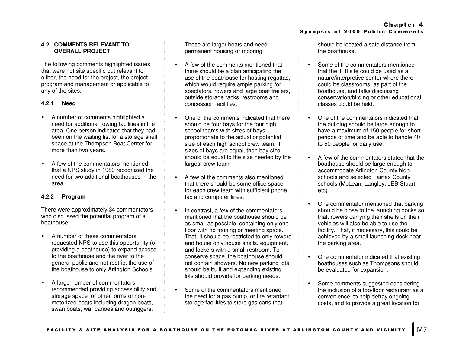#### **4.2 COMMENTS RELEVANT TO OVERALL PROJECT**

The following comments highlighted issues that were not site specific but relevant to either, the need for the project, the project program and management or applicable to any of the sites.

#### **4.2.1 Need**

- A number of comments highlighted a need for additional rowing facilities in the area. One person indicated that they had been on the waiting list for a storage shelf space at the Thompson Boat Center for more than two years.
- A few of the commentators mentioned that a NPS study in 1989 recognized the need for two additional boathouses in the area.

#### **4.2.2 Program**

There were approximately 34 commentators who discussed the potential program of a boathouse.

- A number of these commentators requested NPS to use this opportunity (of providing a boathouse) to expand access to the boathouse and the river to the general public and not restrict the use of the boathouse to only Arlington Schools.
- A large number of commentators recommended providing accessibility and storage space for other forms of nonmotorized boats including dragon boats, swan boats, war canoes and outriggers.

These are larger boats and need permanent housing or mooring.

- A few of the comments mentioned that there should be a plan anticipating the use of the boathouse for hosting regattas, which would require ample parking for spectators, rowers and large boat trailers, outside storage racks, restrooms and concession facilities.
- One of the comments indicated that there should be four bays for the four high school teams with sizes of bays proportionate to the actual or potential size of each high school crew team. If sizes of bays are equal, then bay size should be equal to the size needed by the largest crew team.
- A few of the comments also mentioned that there should be some office space for each crew team with sufficient phone, fax and computer lines.
- In contrast, a few of the commentators mentioned that the boathouse should be as small as possible, containing only one floor with no training or meeting space. That, it should be restricted to only rowers and house only house shells, equipment, and lockers with a small restroom. To conserve space, the boathouse should not contain showers. No new parking lots should be built and expanding existing lots should provide for parking needs.
- Some of the commentators mentioned the need for a gas pump, or fire retardant storage facilities to store gas cans that

should be located a safe distance from the boathouse.

- Some of the commentators mentioned that the TRI site could be used as a nature/interpretive center where there could be classrooms, as part of the boathouse, and talks discussing conservation/birding or other educational classes could be held.
- One of the commentators indicated that the building should be large enough to have a maximum of 150 people for short periods of time and be able to handle 40 to 50 people for daily use.
- A few of the commentators stated that the boathouse should be large enough to accommodate Arlington County high schools and selected Fairfax County schools (McLean, Langley, JEB Stuart, etc).
- One commentator mentioned that parking should be close to the launching docks so that, rowers carrying their shells on their vehicles will also be able to use the facility. That, if necessary, this could be achieved by a small launching dock near the parking area.
- One commentator indicated that existing boathouses such as Thompsons should be evaluated for expansion.
- Some comments suggested considering the inclusion of a top-floor restaurant as a convenience, to help defray ongoing costs, and to provide a great location for

#### Chapter 4 Synopsis of 2000 Public Comments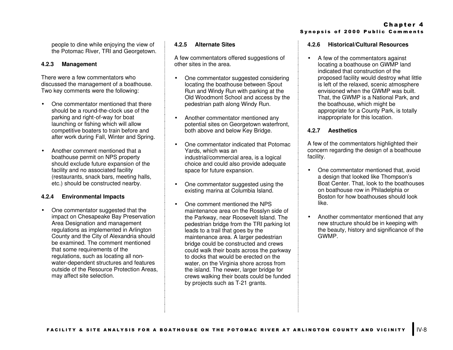people to dine while enjoying the view of the Potomac River, TRI and Georgetown.

#### **4.2.3 Management**

There were a few commentators who discussed the management of a boathouse. Two key comments were the following:

- One commentator mentioned that there should be a round-the-clock use of the parking and right-of-way for boat launching or fishing which will allow competitive boaters to train before and after work during Fall, Winter and Spring.
- Another comment mentioned that a boathouse permit on NPS property should exclude future expansion of the facility and no associated facility (restaurants, snack bars, meeting halls, etc.) should be constructed nearby.

# **4.2.4 Environmental Impacts**

• One commentator suggested that the impact on Chesapeake Bay Preservation Area Designation and management regulations as implemented in Arlington County and the City of Alexandria should be examined. The comment mentioned that some requirements of the regulations, such as locating all nonwater-dependent structures and features outside of the Resource Protection Areas, may affect site selection.

#### **4.2.5 Alternate Sites**

A few commentators offered suggestions of other sites in the area.

- One commentator suggested considering locating the boathouse between Spout Run and Windy Run with parking at the Old Woodmont School and access by the pedestrian path along Windy Run.
- Another commentator mentioned any potential sites on Georgetown waterfront, both above and below Key Bridge.
- One commentator indicated that Potomac Yards, which was an industrial/commercial area, is a logical choice and could also provide adequate space for future expansion.
- One commentator suggested using the existing marina at Columbia Island.
- One comment mentioned the NPS maintenance area on the Rosslyn side of the Parkway, near Roosevelt Island. The pedestrian bridge from the TRI parking lot leads to a trail that goes by the maintenance area. A larger pedestrian bridge could be constructed and crews could walk their boats across the parkway to docks that would be erected on the water, on the Virginia shore across from the island. The newer, larger bridge for crews walking their boats could be funded by projects such as T-21 grants.

Chapter 4 Synopsis of 2000 Public Comments

#### **4.2.6 Historical/Cultural Resources**

• A few of the commentators against locating a boathouse on GWMP land indicated that construction of the proposed facility would destroy what little is left of the relaxed, scenic atmosphere envisioned when the GWMP was built. That, the GWMP is a National Park, and the boathouse, which might be appropriate for a County Park, is totally inappropriate for this location.

#### **4.2.7 Aesthetics**

A few of the commentators highlighted their concern regarding the design of a boathouse facility.

- One commentator mentioned that, avoid a design that looked like Thompson's Boat Center. That, look to the boathouses on boathouse row in Philadelphia or Boston for how boathouses should look like.
- Another commentator mentioned that any new structure should be in keeping with the beauty, history and significance of the GWMP.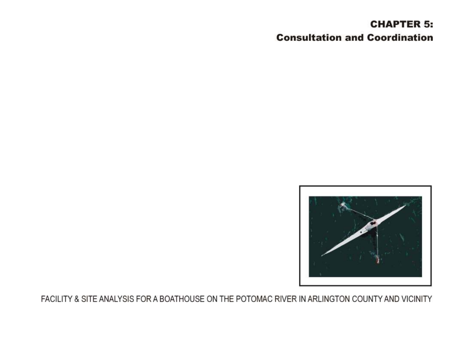# **CHAPTER 5: Consultation and Coordination**

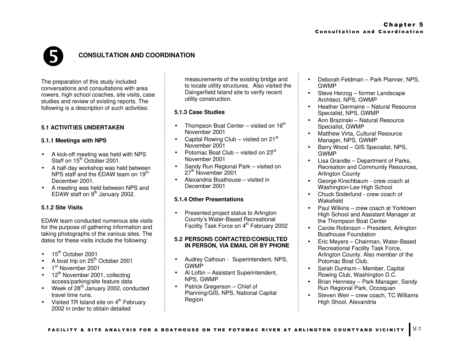

# **CONSULTATION AND COORDINATION**

The preparation of this study included conversations and consultations with area rowers, high school coaches, site visits, case studies and review of existing reports. The following is a description of such activities:

# **5.1 ACTIVITIES UNDERTAKEN**

# **5.1.1 Meetings with NPS**

- A kick-off meeting was held with NPS Staff on 15<sup>th</sup> October 2001.
- A half-day workshop was held between NPS staff and the EDAW team on  $19<sup>tn</sup>$ December 2001.
- A meeting was held between NPS and EDAW staff on  $9<sup>th</sup>$  January 2002.

# **5.1.2 Site Visits**

EDAW team conducted numerous site visits for the purpose of gathering information and taking photographs of the various sites. The dates for these visits include the following:

- $15<sup>th</sup>$  October 2001
- A boat trip on  $25<sup>th</sup>$  October 2001
- 1<sup>st</sup> November 2001
- 12<sup>th</sup> November 2001, collecting access/parking/site feature data
- Week of  $28<sup>th</sup>$  January 2002, conducted travel time runs.
- Visited TR Island site on  $4<sup>th</sup>$  February 2002 in order to obtain detailed

measurements of the existing bridge and to locate utility structures. Also visited the Daingerfield Island site to verify recent utility construction.

# **5.1.3 Case Studies**

- Thompson Boat Center visited on  $16<sup>th</sup>$ November 2001
- Capital Rowing Club visited on  $21^{st}$ November 2001
- Potomac Boat Club visited on 23<sup>rd</sup> November 2001
- Sandy Run Regional Park visited on 27<sup>th</sup> November 2001
- Alexandria Boathouse visited in December 2001

# **5.1.4 Other Presentations**

• Presented project status to Arlington County's Water-Based Recreational Facility Task Force on 4<sup>th</sup> February 2002

#### **5.2 PERSONS CONTACTED/CONSULTED IN PERSON, VIA EMAIL OR BY PHONE**

- Audrey Calhoun Superintendent, NPS, GWMP
- Al Loftin Assistant Superintendent, NPS, GWMP
- Patrick Gregerson Chief of Planning/GIS, NPS, National Capital Region
- Deborah Feldman Park Planner, NPS, GWMP
- Steve Herzog former Landscape Architect, NPS, GWMP
- Heather Germaine Natural Resource Specialist, NPS, GWMP
- Ann Brazinski Natural Resource Specialist, GWMP
- Matthew Virta, Cultural Resource Manager, NPS, GWMP
- Barry Wood GIS Specialist, NPS, GWMP
- Lisa Grandle Department of Parks, Recreation and Community Resources, Arlington County
- George Kirschbaum crew coach at Washington-Lee High School
- Chuck Soderlund crew coach of Wakefield
- Paul Wilkins crew coach at Yorktown High School and Assistant Manager at the Thompson Boat Center
- Carole Robinson President, Arlington Boathouse Foundation
- Eric Meyers Chairman, Water-Based Recreational Facility Task Force, Arlington County. Also member of the Potomac Boat Club.
- Sarah Dunham Member, Capital Rowing Club, Washington D.C.
- Brian Hennesy Park Manager, Sandy Run Regional Park, Occoquan
- Steven Weir crew coach, TC Williams High Shool, Alexandria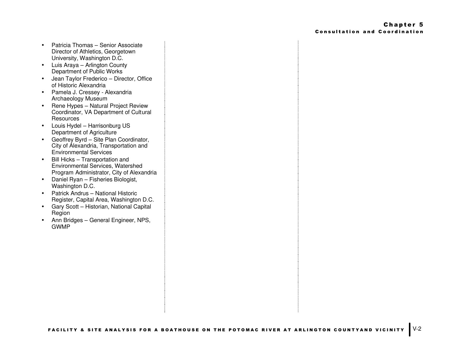- Patricia Thomas Senior Associate Director of Athletics, Georgetown University, Washington D.C.
- Luis Araya Arlington County Department of Public Works
- Jean Taylor Frederico Director, Office of Historic Alexandria
- Pamela J. Cressey Alexandria Archaeology Museum
- Rene Hypes Natural Project Review Coordinator, VA Department of Cultural **Resources**
- Louis Hydel Harrisonburg US Department of Agriculture
- Geoffrey Byrd Site Plan Coordinator, City of Alexandria, Transportation and Environmental Services
- Bill Hicks Transportation and Environmental Services, Watershed Program Administrator, City of Alexandria
- Daniel Ryan Fisheries Biologist, Washington D.C.
- Patrick Andrus National Historic Register, Capital Area, Washington D.C.
- Gary Scott Historian, National Capital Region
- Ann Bridges General Engineer, NPS, GWMP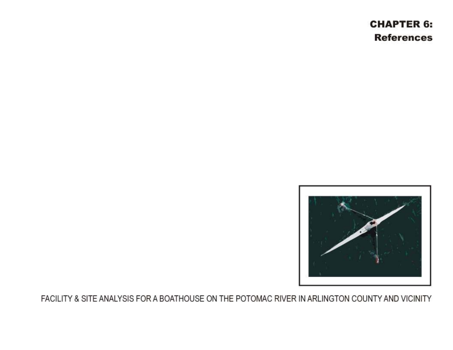# **CHAPTER 6: References**

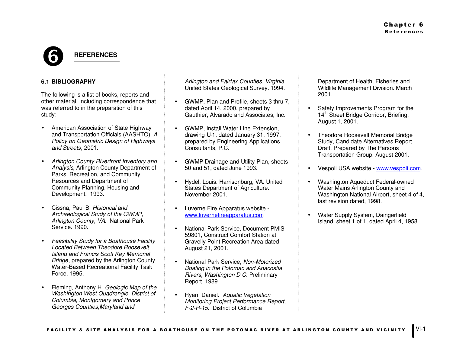# **G REFERENCES**

# **6.1 BIBLIOGRAPHY**

The following is a list of books, reports and other material, including correspondence that was referred to in the preparation of this study:

- American Association of State Highway and Transportation Officials (AASHTO). *A Policy on Geometric Design of Highways and Streets*, 2001.
- *Arlington County Riverfront Inventory and Analysis*, Arlington County Department of Parks, Recreation, and Community Resources and Department of Community Planning, Housing and Development. 1993.
- Cissna, Paul B. *Historical and Archaeological Study of the GWMP, Arlington County, VA.* National Park Service. 1990.
- *Feasibility Study for a Boathouse Facility Located Between Theodore Roosevelt Island and Francis Scott Key Memorial Bridge*, prepared by the Arlington County Water-Based Recreational Facility Task Force. 1995.
- Fleming, Anthony H. *Geologic Map of the Washington West Quadrangle, District of Columbia, Montgomery and Prince Georges Counties,Maryland and*

*Arlington and Fairfax Counties, Virginia.* United States Geological Survey. 1994.

- GWMP, Plan and Profile, sheets 3 thru 7, dated April 14, 2000, prepared by Gauthier, Alvarado and Associates, Inc.
- GWMP, Install Water Line Extension, drawing U-1, dated January 31, 1997, prepared by Engineering Applications Consultants, P.C.
- GWMP Drainage and Utility Plan, sheets 50 and 51, dated June 1993.
- Hydel, Louis. Harrisonburg, VA. United States Department of Agriculture. November 2001.
- Luverne Fire Apparatus website www.luvernefireapparatus.com
- National Park Service, Document PMIS 59801, Construct Comfort Station at Gravelly Point Recreation Area dated August 21, 2001.
- National Park Service, *Non-Motorized Boating in the Potomac and Anacostia Rivers, Washington D.C.* Preliminary Report. 1989
- Ryan, Daniel. *Aquatic Vegetation Monitoring Project Performance Report, F-2-R-15*. District of Columbia

Department of Health, Fisheries and Wildlife Management Division. March 2001.

- Safety Improvements Program for the 14<sup>th</sup> Street Bridge Corridor, Briefing, August 1, 2001.
- Theodore Roosevelt Memorial Bridge Study, Candidate Alternatives Report. Draft. Prepared by The Parsons Transportation Group. August 2001.
- Vespoli USA website www.vespoli.com.
- Washington Aqueduct Federal-owned Water Mains Arlington County and Washington National Airport, sheet 4 of 4, last revision dated, 1998.
- Water Supply System, Daingerfield Island, sheet 1 of 1, dated April 4, 1958.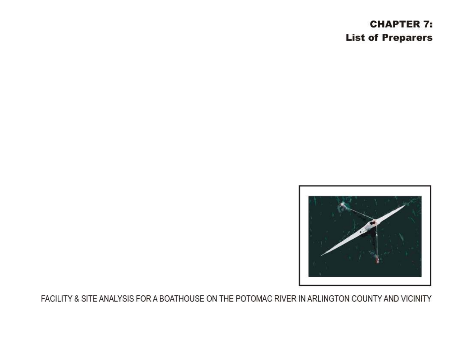# **CHAPTER 7: List of Preparers**